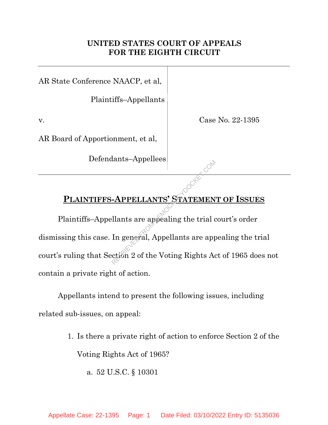## **UNITED STATES COURT OF APPEALS FOR THE EIGHTH CIRCUIT**

AR State Conference NAACP, et al,

Plaintiffs–Appellants

v. Case No. 22-1395

AR Board of Apportionment, et al,

Defendants–Appellees

## **PLAINTIFFS-APPELLANTS' STATEMENT OF ISSUES**

Plaintiffs–Appellants are appealing the trial court's order dismissing this case. In general, Appellants are appealing the trial court's ruling that Section 2 of the Voting Rights Act of 1965 does not contain a private right of action. APPELLANTS' STATEMEN<br>
Ellants are appealing the trial d<br>
In general, Appellants are appeared.

Appellants intend to present the following issues, including related sub-issues, on appeal:

- 1. Is there a private right of action to enforce Section 2 of the Voting Rights Act of 1965?
	- a. 52 U.S.C. § 10301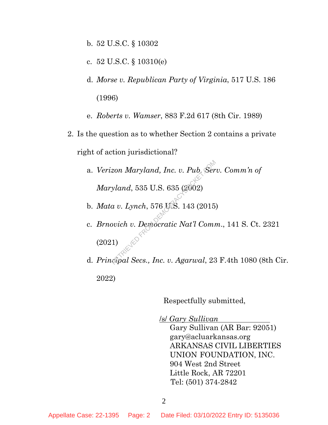- b. 52 U.S.C. § 10302
- c. 52 U.S.C. § 10310(e)
- d. *Morse v. Republican Party of Virginia*, 517 U.S. 186 (1996)
- e. *Roberts v. Wamser*, 883 F.2d 617 (8th Cir. 1989)
- 2. Is the question as to whether Section 2 contains a private right of action jurisdictional?
	- a. *Verizon Maryland, Inc. v. Pub. Serv. Comm'n of Maryland*, 535 U.S. 635 (2002)
	- b. *Mata v. Lynch*, 576 U.S. 143 (2015)
	- c. *Brnovich v. Democratic Nat'l Comm*., 141 S. Ct. 2321 (2021) reta Maryland, Inc. v. Pub. Ser<br>1974 (2002)<br>2015 (2002)<br>2015 (2015)<br>2016 v. Democratic Nat'l Comp<br>2016 v. Democratic Nat'l Comp<br>2016 (2017)
	- d. *Principal Secs., Inc. v. Agarwal*, 23 F.4th 1080 (8th Cir. 2022)

Respectfully submitted,

/s/ *Gary Sullivan* 

Gary Sullivan (AR Bar: 92051) gary@acluarkansas.org ARKANSAS CIVIL LIBERTIES UNION FOUNDATION, INC. 904 West 2nd Street Little Rock, AR 72201 Tel: (501) 374-2842